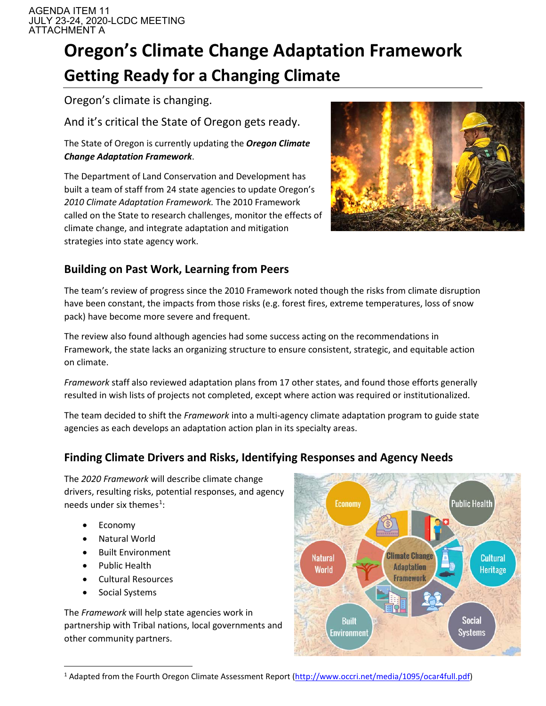AGENDA ITEM 11 JULY 23-24, 2020-LCDC MEETING ATTACHMENT A

# **Oregon's Climate Change Adaptation Framework Getting Ready for a Changing Climate**

Oregon's climate is changing.

And it's critical the State of Oregon gets ready.

The State of Oregon is currently updating the *Oregon Climate Change Adaptation Framework*.

The Department of Land Conservation and Development has built a team of staff from 24 state agencies to update Oregon's *2010 Climate Adaptation Framework.* The 2010 Framework called on the State to research challenges, monitor the effects of climate change, and integrate adaptation and mitigation strategies into state agency work.



# **Building on Past Work, Learning from Peers**

The team's review of progress since the 2010 Framework noted though the risks from climate disruption have been constant, the impacts from those risks (e.g. forest fires, extreme temperatures, loss of snow pack) have become more severe and frequent.

The review also found although agencies had some success acting on the recommendations in Framework, the state lacks an organizing structure to ensure consistent, strategic, and equitable action on climate.

*Framework* staff also reviewed adaptation plans from 17 other states, and found those efforts generally resulted in wish lists of projects not completed, except where action was required or institutionalized.

The team decided to shift the *Framework* into a multi-agency climate adaptation program to guide state agencies as each develops an adaptation action plan in its specialty areas.

## **Finding Climate Drivers and Risks, Identifying Responses and Agency Needs**

The *2020 Framework* will describe climate change drivers, resulting risks, potential responses, and agency needs under six themes<sup>[1](#page-0-0)</sup>:

- Economy
- Natural World
- Built Environment
- Public Health
- Cultural Resources
- Social Systems

The *Framework* will help state agencies work in partnership with Tribal nations, local governments and other community partners.



<span id="page-0-0"></span><sup>&</sup>lt;sup>1</sup> Adapted from the Fourth Oregon Climate Assessment Report [\(http://www.occri.net/media/1095/ocar4full.pdf\)](http://www.occri.net/media/1095/ocar4full.pdf)